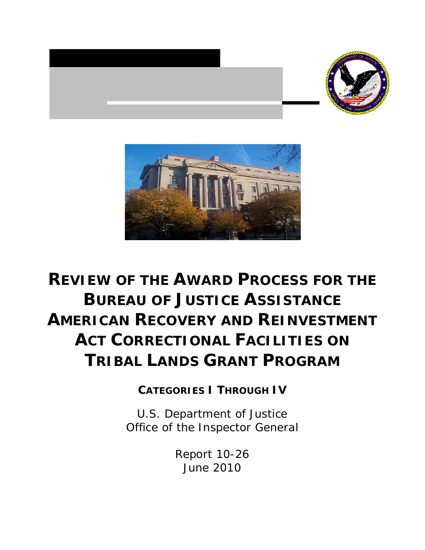



# **REVIEW OF THE AWARD PROCESS FOR THE BUREAU OF JUSTICE ASSISTANCE AMERICAN RECOVERY AND REINVESTMENT ACT CORRECTIONAL FACILITIES ON TRIBAL LANDS GRANT PROGRAM**

**CATEGORIES I THROUGH IV**

U.S. Department of Justice Office of the Inspector General

> Report 10-26 June 2010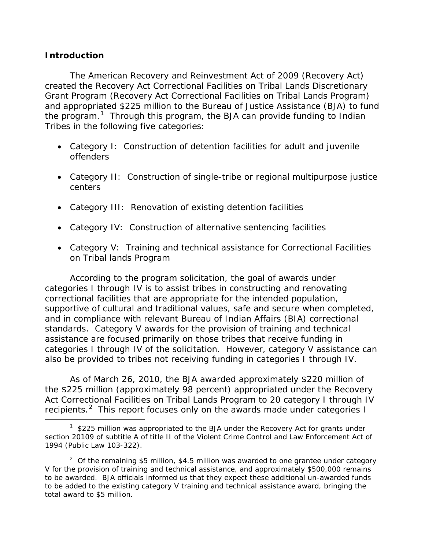## **Introduction**

*The American Recovery and Reinvestment Act of 2009* (Recovery Act) created the Recovery Act Correctional Facilities on Tribal Lands Discretionary Grant Program (Recovery Act Correctional Facilities on Tribal Lands Program) and appropriated \$225 million to the Bureau of Justice Assistance (BJA) to fund the program.<sup>[1](#page-1-0)</sup> Through this program, the BJA can provide funding to Indian Tribes in the following five categories:

- Category I: Construction of detention facilities for adult and juvenile offenders
- Category II: Construction of single-tribe or regional multipurpose justice centers
- Category III: Renovation of existing detention facilities
- Category IV: Construction of alternative sentencing facilities
- Category V: Training and technical assistance for Correctional Facilities on Tribal lands Program

According to the program solicitation, the goal of awards under categories I through IV is to assist tribes in constructing and renovating correctional facilities that are appropriate for the intended population, supportive of cultural and traditional values, safe and secure when completed, and in compliance with relevant Bureau of Indian Affairs (BIA) correctional standards. Category V awards for the provision of training and technical assistance are focused primarily on those tribes that receive funding in categories I through IV of the solicitation. However, category V assistance can also be provided to tribes not receiving funding in categories I through IV.

As of March 26, 2010, the BJA awarded approximately \$220 million of the \$225 million (approximately 98 percent) appropriated under the Recovery Act Correctional Facilities on Tribal Lands Program to 20 category I through IV recipients.<sup>[2](#page-1-1)</sup> This report focuses only on the awards made under categories I

<span id="page-1-0"></span> $\overline{\phantom{a}}$  $1$  \$225 million was appropriated to the BJA under the Recovery Act for grants under section 20109 of subtitle A of title II of the Violent Crime Control and Law Enforcement Act of 1994 (Public Law 103-322).

<span id="page-1-1"></span><sup>&</sup>lt;sup>2</sup> Of the remaining \$5 million, \$4.5 million was awarded to one grantee under category V for the provision of training and technical assistance, and approximately \$500,000 remains to be awarded. BJA officials informed us that they expect these additional un-awarded funds to be added to the existing category V training and technical assistance award, bringing the total award to \$5 million.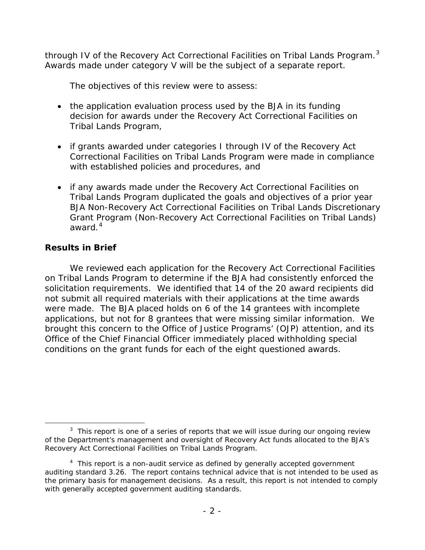through IV of the Recovery Act Correctional Facilities on Tribal Lands Program.<sup>[3](#page-2-0)</sup> Awards made under category V will be the subject of a separate report.

The objectives of this review were to assess:

- the application evaluation process used by the BJA in its funding decision for awards under the Recovery Act Correctional Facilities on Tribal Lands Program,
- if grants awarded under categories I through IV of the Recovery Act Correctional Facilities on Tribal Lands Program were made in compliance with established policies and procedures, and
- if any awards made under the Recovery Act Correctional Facilities on Tribal Lands Program duplicated the goals and objectives of a prior year BJA Non-Recovery Act Correctional Facilities on Tribal Lands Discretionary Grant Program (Non-Recovery Act Correctional Facilities on Tribal Lands) award.<sup>[4](#page-2-1)</sup>

# **Results in Brief**

We reviewed each application for the Recovery Act Correctional Facilities on Tribal Lands Program to determine if the BJA had consistently enforced the solicitation requirements. We identified that 14 of the 20 award recipients did not submit all required materials with their applications at the time awards were made. The BJA placed holds on 6 of the 14 grantees with incomplete applications, but not for 8 grantees that were missing similar information. We brought this concern to the Office of Justice Programs' (OJP) attention, and its Office of the Chief Financial Officer immediately placed withholding special conditions on the grant funds for each of the eight questioned awards.

<span id="page-2-0"></span> $\overline{\phantom{a}}$  3  $3$  This report is one of a series of reports that we will issue during our ongoing review of the Department's management and oversight of Recovery Act funds allocated to the BJA's Recovery Act Correctional Facilities on Tribal Lands Program.

<span id="page-2-1"></span><sup>&</sup>lt;sup>4</sup> This report is a non-audit service as defined by generally accepted government auditing standard 3.26. The report contains technical advice that is not intended to be used as the primary basis for management decisions. As a result, this report is not intended to comply with generally accepted government auditing standards.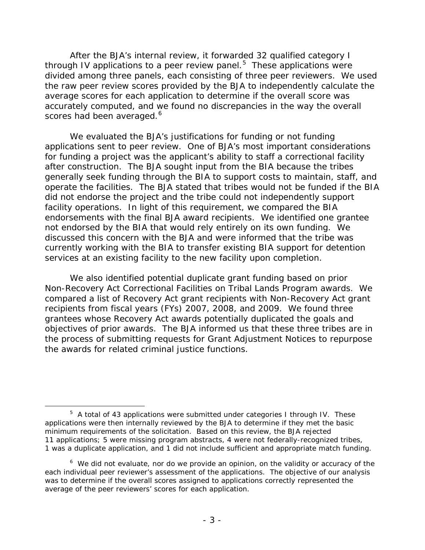After the BJA's internal review, it forwarded 32 qualified category I through IV applications to a peer review panel. $5$  These applications were divided among three panels, each consisting of three peer reviewers. We used the raw peer review scores provided by the BJA to independently calculate the average scores for each application to determine if the overall score was accurately computed, and we found no discrepancies in the way the overall scores had been averaged.<sup>[6](#page-3-1)</sup>

We evaluated the BJA's justifications for funding or not funding applications sent to peer review. One of BJA's most important considerations for funding a project was the applicant's ability to staff a correctional facility after construction. The BJA sought input from the BIA because the tribes generally seek funding through the BIA to support costs to maintain, staff, and operate the facilities. The BJA stated that tribes would not be funded if the BIA did not endorse the project and the tribe could not independently support facility operations. In light of this requirement, we compared the BIA endorsements with the final BJA award recipients. We identified one grantee not endorsed by the BIA that would rely entirely on its own funding. We discussed this concern with the BJA and were informed that the tribe was currently working with the BIA to transfer existing BIA support for detention services at an existing facility to the new facility upon completion.

We also identified potential duplicate grant funding based on prior Non-Recovery Act Correctional Facilities on Tribal Lands Program awards. We compared a list of Recovery Act grant recipients with Non-Recovery Act grant recipients from fiscal years (FYs) 2007, 2008, and 2009. We found three grantees whose Recovery Act awards potentially duplicated the goals and objectives of prior awards. The BJA informed us that these three tribes are in the process of submitting requests for Grant Adjustment Notices to repurpose the awards for related criminal justice functions.

<span id="page-3-0"></span> $\overline{\phantom{a}}$  $5$  A total of 43 applications were submitted under categories I through IV. These applications were then internally reviewed by the BJA to determine if they met the basic minimum requirements of the solicitation. Based on this review, the BJA rejected 11 applications; 5 were missing program abstracts, 4 were not federally-recognized tribes, 1 was a duplicate application, and 1 did not include sufficient and appropriate match funding.

<span id="page-3-1"></span> $6\,$  We did not evaluate, nor do we provide an opinion, on the validity or accuracy of the each individual peer reviewer's assessment of the applications. The objective of our analysis was to determine if the overall scores assigned to applications correctly represented the average of the peer reviewers' scores for each application.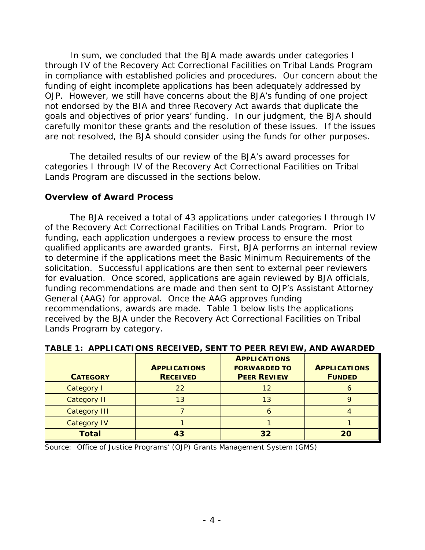In sum, we concluded that the BJA made awards under categories I through IV of the Recovery Act Correctional Facilities on Tribal Lands Program in compliance with established policies and procedures. Our concern about the funding of eight incomplete applications has been adequately addressed by OJP. However, we still have concerns about the BJA's funding of one project not endorsed by the BIA and three Recovery Act awards that duplicate the goals and objectives of prior years' funding. In our judgment, the BJA should carefully monitor these grants and the resolution of these issues. If the issues are not resolved, the BJA should consider using the funds for other purposes.

The detailed results of our review of the BJA's award processes for categories I through IV of the Recovery Act Correctional Facilities on Tribal Lands Program are discussed in the sections below.

#### **Overview of Award Process**

The BJA received a total of 43 applications under categories I through IV of the Recovery Act Correctional Facilities on Tribal Lands Program. Prior to funding, each application undergoes a review process to ensure the most qualified applicants are awarded grants. First, BJA performs an internal review to determine if the applications meet the Basic Minimum Requirements of the solicitation. Successful applications are then sent to external peer reviewers for evaluation. Once scored, applications are again reviewed by BJA officials, funding recommendations are made and then sent to OJP's Assistant Attorney General (AAG) for approval. Once the AAG approves funding recommendations, awards are made. Table 1 below lists the applications received by the BJA under the Recovery Act Correctional Facilities on Tribal Lands Program by category.

| <b>CATEGORY</b>     | <b>APPLICATIONS</b><br><b>RECEIVED</b> | <b>APPLICATIONS</b><br><b>FORWARDED TO</b><br><b>PEER REVIEW</b> | <b>APPLICATIONS</b><br><b>FUNDED</b> |
|---------------------|----------------------------------------|------------------------------------------------------------------|--------------------------------------|
| Category I          | 22                                     | 12                                                               |                                      |
| <b>Category II</b>  | 13                                     | 13                                                               |                                      |
| <b>Category III</b> |                                        | n                                                                |                                      |
| <b>Category IV</b>  |                                        |                                                                  |                                      |
| <b>Total</b>        | 43                                     | 32                                                               |                                      |

| TABLE 1: APPLICATIONS RECEIVED, SENT TO PEER REVIEW, AND AWARDED |  |  |  |
|------------------------------------------------------------------|--|--|--|
|                                                                  |  |  |  |
|                                                                  |  |  |  |

Source: Office of Justice Programs' (OJP) Grants Management System (GMS)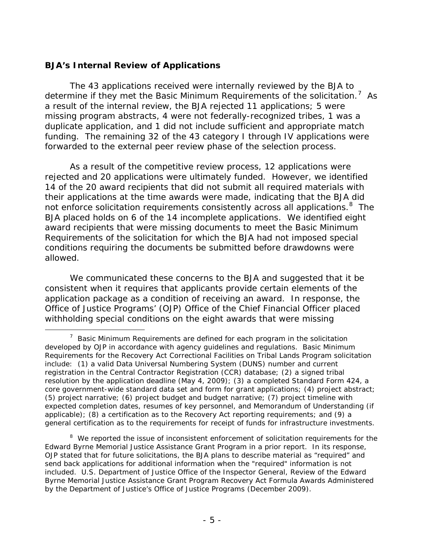## **BJA's Internal Review of Applications**

The 43 applications received were internally reviewed by the BJA to determine if they met the Basic Minimum Requirements of the solicitation.<sup>[7](#page-5-0)</sup> As a result of the internal review, the BJA rejected 11 applications; 5 were missing program abstracts, 4 were not federally-recognized tribes, 1 was a duplicate application, and 1 did not include sufficient and appropriate match funding. The remaining 32 of the 43 category I through IV applications were forwarded to the external peer review phase of the selection process.

As a result of the competitive review process, 12 applications were rejected and 20 applications were ultimately funded. However, we identified 14 of the 20 award recipients that did not submit all required materials with their applications at the time awards were made, indicating that the BJA did not enforce solicitation requirements consistently across all applications.<sup>[8](#page-5-1)</sup> The BJA placed holds on 6 of the 14 incomplete applications. We identified eight award recipients that were missing documents to meet the Basic Minimum Requirements of the solicitation for which the BJA had not imposed special conditions requiring the documents be submitted before drawdowns were allowed.

We communicated these concerns to the BJA and suggested that it be consistent when it requires that applicants provide certain elements of the application package as a condition of receiving an award. In response, the Office of Justice Programs' (OJP) Office of the Chief Financial Officer placed withholding special conditions on the eight awards that were missing

<span id="page-5-0"></span> $\overline{7}$  $\frac{7}{1}$  Basic Minimum Requirements are defined for each program in the solicitation developed by OJP in accordance with agency guidelines and regulations. Basic Minimum Requirements for the Recovery Act Correctional Facilities on Tribal Lands Program solicitation include: (1) a valid Data Universal Numbering System (DUNS) number and current registration in the Central Contractor Registration (CCR) database; (2) a signed tribal resolution by the application deadline (May 4, 2009); (3) a completed Standard Form 424, a core government-wide standard data set and form for grant applications; (4) project abstract; (5) project narrative; (6) project budget and budget narrative; (7) project timeline with expected completion dates, resumes of key personnel, and Memorandum of Understanding (if applicable); (8) a certification as to the Recovery Act reporting requirements; and (9) a general certification as to the requirements for receipt of funds for infrastructure investments.

<span id="page-5-1"></span><sup>&</sup>lt;sup>8</sup> We reported the issue of inconsistent enforcement of solicitation requirements for the Edward Byrne Memorial Justice Assistance Grant Program in a prior report. In its response, OJP stated that for future solicitations, the BJA plans to describe material as "required" and send back applications for additional information when the "required" information is not included. U.S. Department of Justice Office of the Inspector General, *Review of the Edward Byrne Memorial Justice Assistance Grant Program Recovery Act Formula Awards Administered by the Department of Justice's Office of Justice Programs* (December 2009).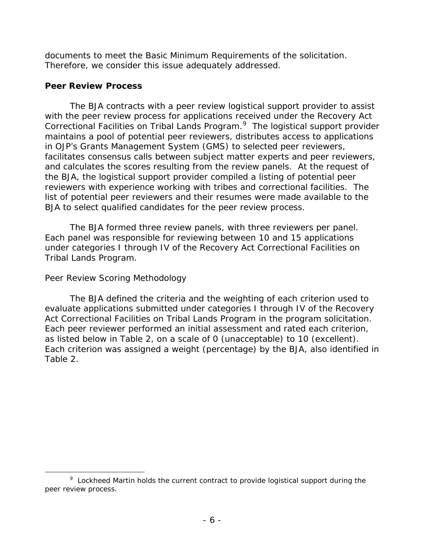documents to meet the Basic Minimum Requirements of the solicitation. Therefore, we consider this issue adequately addressed.

#### **Peer Review Process**

The BJA contracts with a peer review logistical support provider to assist with the peer review process for applications received under the Recovery Act Correctional Facilities on Tribal Lands Program. [9](#page-6-0) The logistical support provider maintains a pool of potential peer reviewers, distributes access to applications in OJP's Grants Management System (GMS) to selected peer reviewers, facilitates consensus calls between subject matter experts and peer reviewers, and calculates the scores resulting from the review panels. At the request of the BJA, the logistical support provider compiled a listing of potential peer reviewers with experience working with tribes and correctional facilities. The list of potential peer reviewers and their resumes were made available to the BJA to select qualified candidates for the peer review process.

The BJA formed three review panels, with three reviewers per panel. Each panel was responsible for reviewing between 10 and 15 applications under categories I through IV of the Recovery Act Correctional Facilities on Tribal Lands Program.

## *Peer Review Scoring Methodology*

The BJA defined the criteria and the weighting of each criterion used to evaluate applications submitted under categories I through IV of the Recovery Act Correctional Facilities on Tribal Lands Program in the program solicitation. Each peer reviewer performed an initial assessment and rated each criterion, as listed below in Table 2, on a scale of 0 (unacceptable) to 10 (excellent). Each criterion was assigned a weight (percentage) by the BJA, also identified in Table 2.

<span id="page-6-0"></span> $\overline{9}$ <sup>9</sup> Lockheed Martin holds the current contract to provide logistical support during the peer review process.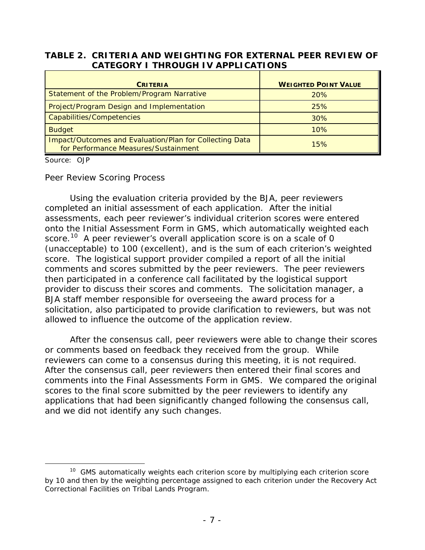#### **TABLE 2. CRITERIA AND WEIGHTING FOR EXTERNAL PEER REVIEW OF CATEGORY I THROUGH IV APPLICATIONS**

| <b>CRITERIA</b>                                                                                 | <b>WEIGHTED POINT VALUE</b> |
|-------------------------------------------------------------------------------------------------|-----------------------------|
| Statement of the Problem/Program Narrative                                                      | 20%                         |
| Project/Program Design and Implementation                                                       | 25%                         |
| Capabilities/Competencies                                                                       | 30%                         |
| <b>Budget</b>                                                                                   | 10%                         |
| Impact/Outcomes and Evaluation/Plan for Collecting Data<br>for Performance Measures/Sustainment | 15%                         |

Source: OJP

#### *Peer Review Scoring Process*

Using the evaluation criteria provided by the BJA, peer reviewers completed an initial assessment of each application. After the initial assessments, each peer reviewer's individual criterion scores were entered onto the Initial Assessment Form in GMS, which automatically weighted each score.<sup>[10](#page-7-0)</sup> A peer reviewer's overall application score is on a scale of 0 (unacceptable) to 100 (excellent), and is the sum of each criterion's weighted score. The logistical support provider compiled a report of all the initial comments and scores submitted by the peer reviewers. The peer reviewers then participated in a conference call facilitated by the logistical support provider to discuss their scores and comments. The solicitation manager, a BJA staff member responsible for overseeing the award process for a solicitation, also participated to provide clarification to reviewers, but was not allowed to influence the outcome of the application review.

After the consensus call, peer reviewers were able to change their scores or comments based on feedback they received from the group. While reviewers can come to a consensus during this meeting, it is not required. After the consensus call, peer reviewers then entered their final scores and comments into the Final Assessments Form in GMS. We compared the original scores to the final score submitted by the peer reviewers to identify any applications that had been significantly changed following the consensus call, and we did not identify any such changes.

<span id="page-7-0"></span> $10$  GMS automatically weights each criterion score by multiplying each criterion score by 10 and then by the weighting percentage assigned to each criterion under the Recovery Act Correctional Facilities on Tribal Lands Program.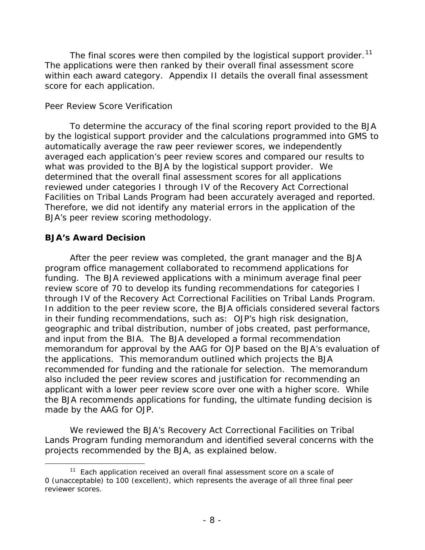The final scores were then compiled by the logistical support provider.<sup>11</sup> The applications were then ranked by their overall final assessment score within each award category. Appendix II details the overall final assessment score for each application.

#### *Peer Review Score Verification*

To determine the accuracy of the final scoring report provided to the BJA by the logistical support provider and the calculations programmed into GMS to automatically average the raw peer reviewer scores, we independently averaged each application's peer review scores and compared our results to what was provided to the BJA by the logistical support provider. We determined that the overall final assessment scores for all applications reviewed under categories I through IV of the Recovery Act Correctional Facilities on Tribal Lands Program had been accurately averaged and reported. Therefore, we did not identify any material errors in the application of the BJA's peer review scoring methodology.

## **BJA's Award Decision**

After the peer review was completed, the grant manager and the BJA program office management collaborated to recommend applications for funding. The BJA reviewed applications with a minimum average final peer review score of 70 to develop its funding recommendations for categories I through IV of the Recovery Act Correctional Facilities on Tribal Lands Program. In addition to the peer review score, the BJA officials considered several factors in their funding recommendations, such as: OJP's high risk designation, geographic and tribal distribution, number of jobs created, past performance, and input from the BIA. The BJA developed a formal recommendation memorandum for approval by the AAG for OJP based on the BJA's evaluation of the applications. This memorandum outlined which projects the BJA recommended for funding and the rationale for selection. The memorandum also included the peer review scores and justification for recommending an applicant with a lower peer review score over one with a higher score. While the BJA recommends applications for funding, the ultimate funding decision is made by the AAG for OJP.

We reviewed the BJA's Recovery Act Correctional Facilities on Tribal Lands Program funding memorandum and identified several concerns with the projects recommended by the BJA, as explained below.

<span id="page-8-0"></span> $11$  Each application received an overall final assessment score on a scale of 0 (unacceptable) to 100 (excellent), which represents the average of all three final peer reviewer scores.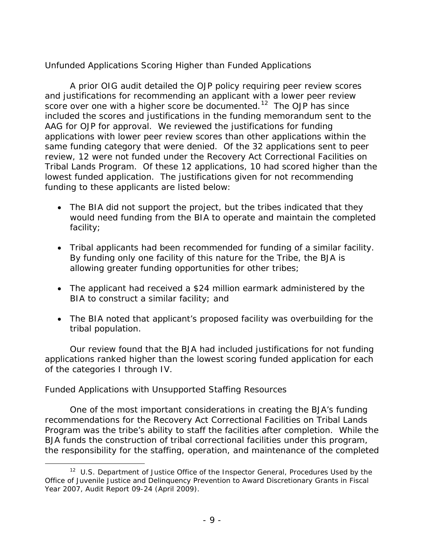# *Unfunded Applications Scoring Higher than Funded Applications*

A prior OIG audit detailed the OJP policy requiring peer review scores and justifications for recommending an applicant with a lower peer review score over one with a higher score be documented.<sup>[12](#page-9-0)</sup> The OJP has since included the scores and justifications in the funding memorandum sent to the AAG for OJP for approval. We reviewed the justifications for funding applications with lower peer review scores than other applications within the same funding category that were denied. Of the 32 applications sent to peer review, 12 were not funded under the Recovery Act Correctional Facilities on Tribal Lands Program. Of these 12 applications, 10 had scored higher than the lowest funded application. The justifications given for not recommending funding to these applicants are listed below:

- The BIA did not support the project, but the tribes indicated that they would need funding from the BIA to operate and maintain the completed facility;
- Tribal applicants had been recommended for funding of a similar facility. By funding only one facility of this nature for the Tribe, the BJA is allowing greater funding opportunities for other tribes;
- The applicant had received a \$24 million earmark administered by the BIA to construct a similar facility; and
- The BIA noted that applicant's proposed facility was overbuilding for the tribal population.

Our review found that the BJA had included justifications for not funding applications ranked higher than the lowest scoring funded application for each of the categories I through IV.

## *Funded Applications with Unsupported Staffing Resources*

One of the most important considerations in creating the BJA's funding recommendations for the Recovery Act Correctional Facilities on Tribal Lands Program was the tribe's ability to staff the facilities after completion. While the BJA funds the construction of tribal correctional facilities under this program, the responsibility for the staffing, operation, and maintenance of the completed

<span id="page-9-0"></span>12 U.S. Department of Justice Office of the Inspector General, *Procedures Used by the Office of Juvenile Justice and Delinquency Prevention to Award Discretionary Grants in Fiscal Year 2007*, Audit Report 09-24 (April 2009).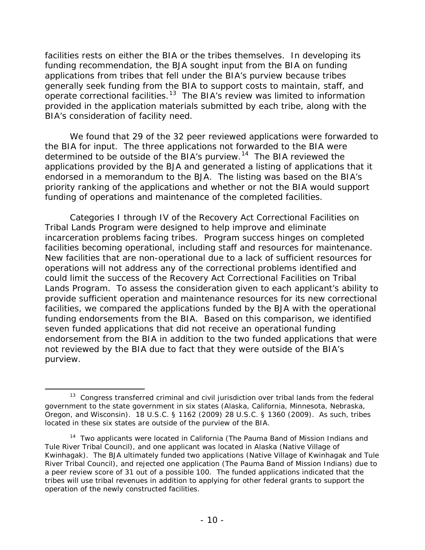facilities rests on either the BIA or the tribes themselves. In developing its funding recommendation, the BJA sought input from the BIA on funding applications from tribes that fell under the BIA's purview because tribes generally seek funding from the BIA to support costs to maintain, staff, and operate correctional facilities.<sup>[13](#page-10-0)</sup> The BIA's review was limited to information provided in the application materials submitted by each tribe, along with the BIA's consideration of facility need.

We found that 29 of the 32 peer reviewed applications were forwarded to the BIA for input. The three applications not forwarded to the BIA were determined to be outside of the BIA's purview.<sup>[14](#page-10-1)</sup> The BIA reviewed the applications provided by the BJA and generated a listing of applications that it endorsed in a memorandum to the BJA. The listing was based on the BIA's priority ranking of the applications and whether or not the BIA would support funding of operations and maintenance of the completed facilities.

Categories I through IV of the Recovery Act Correctional Facilities on Tribal Lands Program were designed to help improve and eliminate incarceration problems facing tribes. Program success hinges on completed facilities becoming operational, including staff and resources for maintenance. New facilities that are non-operational due to a lack of sufficient resources for operations will not address any of the correctional problems identified and could limit the success of the Recovery Act Correctional Facilities on Tribal Lands Program. To assess the consideration given to each applicant's ability to provide sufficient operation and maintenance resources for its new correctional facilities, we compared the applications funded by the BJA with the operational funding endorsements from the BIA. Based on this comparison, we identified seven funded applications that did not receive an operational funding endorsement from the BIA in addition to the two funded applications that were not reviewed by the BIA due to fact that they were outside of the BIA's purview.

<span id="page-10-0"></span> $13$  Congress transferred criminal and civil jurisdiction over tribal lands from the federal government to the state government in six states (Alaska, California, Minnesota, Nebraska, Oregon, and Wisconsin). 18 U.S.C. § 1162 (2009) 28 U.S.C. § 1360 (2009). As such, tribes located in these six states are outside of the purview of the BIA.

<span id="page-10-1"></span><sup>&</sup>lt;sup>14</sup> Two applicants were located in California (The Pauma Band of Mission Indians and Tule River Tribal Council), and one applicant was located in Alaska (Native Village of Kwinhagak). The BJA ultimately funded two applications (Native Village of Kwinhagak and Tule River Tribal Council), and rejected one application (The Pauma Band of Mission Indians) due to a peer review score of 31 out of a possible 100. The funded applications indicated that the tribes will use tribal revenues in addition to applying for other federal grants to support the operation of the newly constructed facilities.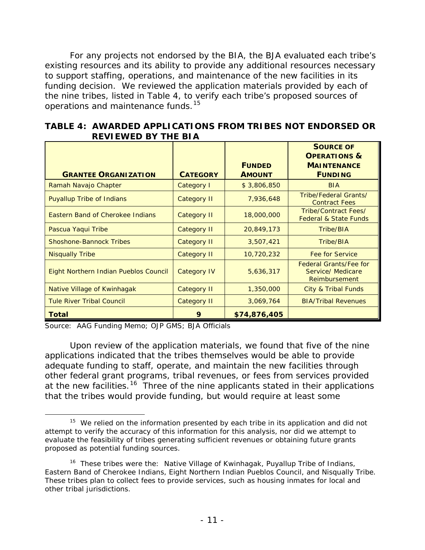For any projects not endorsed by the BIA, the BJA evaluated each tribe's existing resources and its ability to provide any additional resources necessary to support staffing, operations, and maintenance of the new facilities in its funding decision. We reviewed the application materials provided by each of the nine tribes, listed in Table 4, to verify each tribe's proposed sources of operations and maintenance funds.<sup>[15](#page-11-0)</sup>

| <b>GRANTEE ORGANIZATION</b>           | <b>CATEGORY</b>    | <b>FUNDED</b><br><b>AMOUNT</b> | <b>SOURCE OF</b><br><b>OPERATIONS &amp;</b><br><b>MAINTENANCE</b><br><b>FUNDING</b> |
|---------------------------------------|--------------------|--------------------------------|-------------------------------------------------------------------------------------|
| Ramah Navajo Chapter                  | Category I         | \$3,806,850                    | <b>BIA</b>                                                                          |
| <b>Puyallup Tribe of Indians</b>      | <b>Category II</b> | 7,936,648                      | Tribe/Federal Grants/<br><b>Contract Fees</b>                                       |
| Eastern Band of Cherokee Indians      | <b>Category II</b> | 18,000,000                     | Tribe/Contract Fees/<br><b>Federal &amp; State Funds</b>                            |
| Pascua Yaqui Tribe                    | <b>Category II</b> | 20,849,173                     | Tribe/BIA                                                                           |
| <b>Shoshone-Bannock Tribes</b>        | <b>Category II</b> | 3,507,421                      | Tribe/BIA                                                                           |
| <b>Nisqually Tribe</b>                | <b>Category II</b> | 10,720,232                     | <b>Fee for Service</b>                                                              |
| Eight Northern Indian Pueblos Council | <b>Category IV</b> | 5,636,317                      | <b>Federal Grants/Fee for</b><br>Service/ Medicare<br>Reimbursement                 |
| Native Village of Kwinhagak           | <b>Category II</b> | 1,350,000                      | <b>City &amp; Tribal Funds</b>                                                      |
| <b>Tule River Tribal Council</b>      | <b>Category II</b> | 3,069,764                      | <b>BIA/Tribal Revenues</b>                                                          |
| <b>Total</b>                          | 9                  | \$74,876,405                   |                                                                                     |

|  | TABLE 4:AWARDED APPLICATIONS FROM TRIBES NOT ENDORSED OR |  |  |
|--|----------------------------------------------------------|--|--|
|  | <b>REVIEWED BY THE BIA</b>                               |  |  |

Source: AAG Funding Memo; OJP GMS; BJA Officials

Upon review of the application materials, we found that five of the nine applications indicated that the tribes themselves would be able to provide adequate funding to staff, operate, and maintain the new facilities through other federal grant programs, tribal revenues, or fees from services provided at the new facilities.<sup>[16](#page-11-1)</sup> Three of the nine applicants stated in their applications that the tribes would provide funding, but would require at least some

<span id="page-11-0"></span><sup>&</sup>lt;sup>15</sup> We relied on the information presented by each tribe in its application and did not attempt to verify the accuracy of this information for this analysis, nor did we attempt to evaluate the feasibility of tribes generating sufficient revenues or obtaining future grants proposed as potential funding sources.

<span id="page-11-1"></span><sup>&</sup>lt;sup>16</sup> These tribes were the: Native Village of Kwinhagak, Puyallup Tribe of Indians, Eastern Band of Cherokee Indians, Eight Northern Indian Pueblos Council, and Nisqually Tribe. These tribes plan to collect fees to provide services, such as housing inmates for local and other tribal jurisdictions.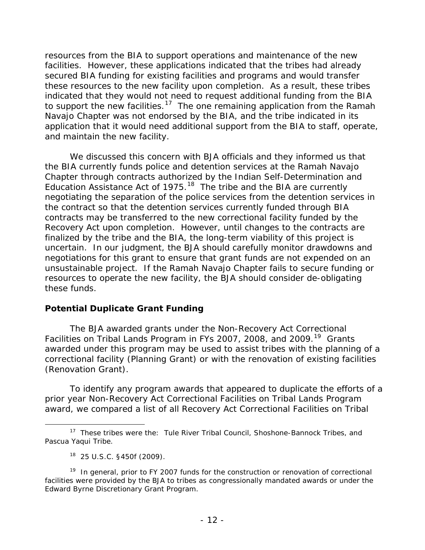resources from the BIA to support operations and maintenance of the new facilities. However, these applications indicated that the tribes had already secured BIA funding for existing facilities and programs and would transfer these resources to the new facility upon completion. As a result, these tribes indicated that they would not need to request additional funding from the BIA to support the new facilities.<sup>17</sup> The one remaining application from the Ramah Navajo Chapter was not endorsed by the BIA, and the tribe indicated in its application that it would need additional support from the BIA to staff, operate, and maintain the new facility.

We discussed this concern with BJA officials and they informed us that the BIA currently funds police and detention services at the Ramah Navajo Chapter through contracts authorized by the Indian Self-Determination and Education Assistance Act of  $1975$ .<sup>[18](#page-12-1)</sup> The tribe and the BIA are currently negotiating the separation of the police services from the detention services in the contract so that the detention services currently funded through BIA contracts may be transferred to the new correctional facility funded by the Recovery Act upon completion. However, until changes to the contracts are finalized by the tribe and the BIA, the long-term viability of this project is uncertain. In our judgment, the BJA should carefully monitor drawdowns and negotiations for this grant to ensure that grant funds are not expended on an unsustainable project. If the Ramah Navajo Chapter fails to secure funding or resources to operate the new facility, the BJA should consider de-obligating these funds.

## **Potential Duplicate Grant Funding**

The BJA awarded grants under the Non-Recovery Act Correctional Facilities on Tribal Lands Program in FYs 2007, 2008, and 2009.<sup>19</sup> Grants awarded under this program may be used to assist tribes with the planning of a correctional facility (Planning Grant) or with the renovation of existing facilities (Renovation Grant).

To identify any program awards that appeared to duplicate the efforts of a prior year Non-Recovery Act Correctional Facilities on Tribal Lands Program award, we compared a list of all Recovery Act Correctional Facilities on Tribal

<span id="page-12-0"></span><sup>&</sup>lt;sup>17</sup> These tribes were the: Tule River Tribal Council, Shoshone-Bannock Tribes, and Pascua Yaqui Tribe.

<sup>18 25</sup> U.S.C. §450f (2009).

<span id="page-12-2"></span><span id="page-12-1"></span><sup>&</sup>lt;sup>19</sup> In general, prior to FY 2007 funds for the construction or renovation of correctional facilities were provided by the BJA to tribes as congressionally mandated awards or under the Edward Byrne Discretionary Grant Program.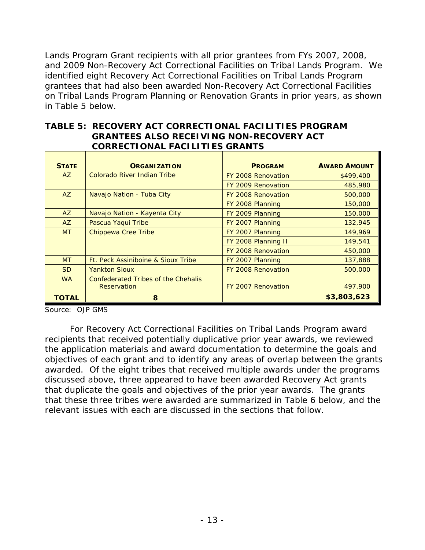Lands Program Grant recipients with all prior grantees from FYs 2007, 2008, and 2009 Non-Recovery Act Correctional Facilities on Tribal Lands Program. We identified eight Recovery Act Correctional Facilities on Tribal Lands Program grantees that had also been awarded Non-Recovery Act Correctional Facilities on Tribal Lands Program Planning or Renovation Grants in prior years, as shown in Table 5 below.

| TABLE 5:RECOVERY ACT CORRECTIONAL FACILITIES PROGRAM |
|------------------------------------------------------|
| <b>GRANTEES ALSO RECEIVING NON-RECOVERY ACT</b>      |
| <b>CORRECTIONAL FACILITIES GRANTS</b>                |

| <b>STATE</b> | <b>ORGANIZATION</b>                 | <b>PROGRAM</b>      | <b>AWARD AMOUNT</b> |
|--------------|-------------------------------------|---------------------|---------------------|
| AZ           | Colorado River Indian Tribe         | FY 2008 Renovation  | \$499,400           |
|              |                                     | FY 2009 Renovation  | 485,980             |
| AZ           | Navajo Nation - Tuba City           | FY 2008 Renovation  | 500,000             |
|              |                                     | FY 2008 Planning    | 150,000             |
| AZ           | Navajo Nation - Kayenta City        | FY 2009 Planning    | 150,000             |
| AZ           | Pascua Yaqui Tribe                  | FY 2007 Planning    | 132,945             |
| <b>MT</b>    | <b>Chippewa Cree Tribe</b>          | FY 2007 Planning    | 149,969             |
|              |                                     | FY 2008 Planning II | 149,541             |
|              |                                     | FY 2008 Renovation  | 450,000             |
| <b>MT</b>    | Ft. Peck Assiniboine & Sioux Tribe  | FY 2007 Planning    | 137,888             |
| <b>SD</b>    | <b>Yankton Sioux</b>                | FY 2008 Renovation  | 500,000             |
| <b>WA</b>    | Confederated Tribes of the Chehalis |                     |                     |
|              | Reservation                         | FY 2007 Renovation  | 497,900             |
| TOTAL        | 8                                   |                     | \$3,803,623         |

Source: OJP GMS

For Recovery Act Correctional Facilities on Tribal Lands Program award recipients that received potentially duplicative prior year awards, we reviewed the application materials and award documentation to determine the goals and objectives of each grant and to identify any areas of overlap between the grants awarded. Of the eight tribes that received multiple awards under the programs discussed above, three appeared to have been awarded Recovery Act grants that duplicate the goals and objectives of the prior year awards. The grants that these three tribes were awarded are summarized in Table 6 below, and the relevant issues with each are discussed in the sections that follow.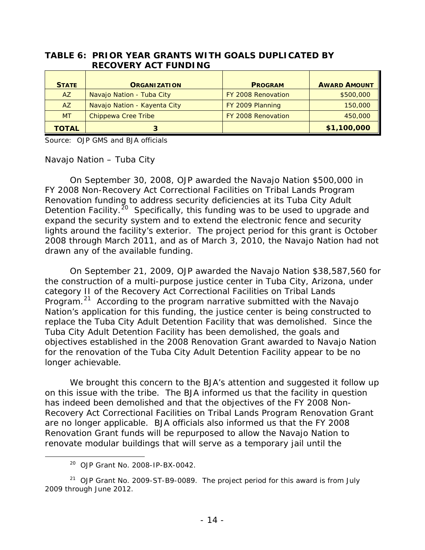#### **TABLE 6: PRIOR YEAR GRANTS WITH GOALS DUPLICATED BY RECOVERY ACT FUNDING**

| <b>STATE</b> | <b>ORGANIZATION</b>          | <b>PROGRAM</b>     | <b>AWARD AMOUNT</b> |
|--------------|------------------------------|--------------------|---------------------|
| <b>AZ</b>    | Navajo Nation - Tuba City    | FY 2008 Renovation | \$500,000           |
| <b>AZ</b>    | Navajo Nation - Kayenta City | FY 2009 Planning   | 150,000             |
| <b>MT</b>    | Chippewa Cree Tribe          | FY 2008 Renovation | 450,000             |
| <b>TOTAL</b> |                              |                    | \$1,100,000         |

Source: OJP GMS and BJA officials

## *Navajo Nation – Tuba City*

On September 30, 2008, OJP awarded the Navajo Nation \$500,000 in FY 2008 Non-Recovery Act Correctional Facilities on Tribal Lands Program Renovation funding to address security deficiencies at its Tuba City Adult Detention Facility.<sup>[20](#page-14-0)</sup> Specifically, this funding was to be used to upgrade and expand the security system and to extend the electronic fence and security lights around the facility's exterior. The project period for this grant is October 2008 through March 2011, and as of March 3, 2010, the Navajo Nation had not drawn any of the available funding.

On September 21, 2009, OJP awarded the Navajo Nation \$38,587,560 for the construction of a multi-purpose justice center in Tuba City, Arizona, under category II of the Recovery Act Correctional Facilities on Tribal Lands Program.<sup>[21](#page-14-1)</sup> According to the program narrative submitted with the Navajo Nation's application for this funding, the justice center is being constructed to replace the Tuba City Adult Detention Facility that was demolished.Since the Tuba City Adult Detention Facility has been demolished, the goals and objectives established in the 2008 Renovation Grant awarded to Navajo Nation for the renovation of the Tuba City Adult Detention Facility appear to be no longer achievable.

We brought this concern to the BJA's attention and suggested it follow up on this issue with the tribe. The BJA informed us that the facility in question has indeed been demolished and that the objectives of the FY 2008 Non-Recovery Act Correctional Facilities on Tribal Lands Program Renovation Grant are no longer applicable. BJA officials also informed us that the FY 2008 Renovation Grant funds will be repurposed to allow the Navajo Nation to renovate modular buildings that will serve as a temporary jail until the

20 OJP Grant No. 2008-IP-BX-0042.

<span id="page-14-1"></span><span id="page-14-0"></span><sup>&</sup>lt;sup>21</sup> OJP Grant No. 2009-ST-B9-0089. The project period for this award is from July 2009 through June 2012.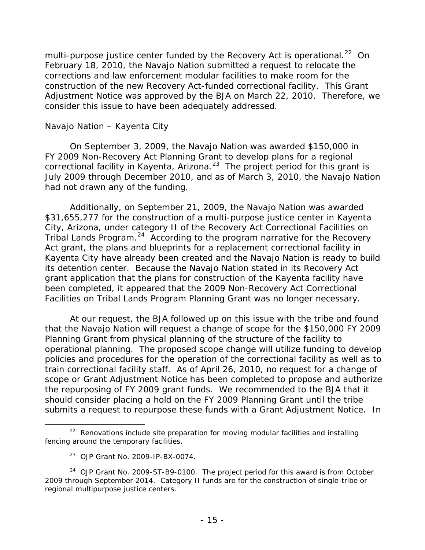multi-purpose justice center funded by the Recovery Act is operational.<sup>[22](#page-15-0)</sup> On February 18, 2010, the Navajo Nation submitted a request to relocate the corrections and law enforcement modular facilities to make room for the construction of the new Recovery Act-funded correctional facility. This Grant Adjustment Notice was approved by the BJA on March 22, 2010. Therefore, we consider this issue to have been adequately addressed.

## *Navajo Nation – Kayenta City*

On September 3, 2009, the Navajo Nation was awarded \$150,000 in FY 2009 Non-Recovery Act Planning Grant to develop plans for a regional correctional facility in Kayenta, Arizona.<sup>[23](#page-15-1)</sup> The project period for this grant is July 2009 through December 2010, and as of March 3, 2010, the Navajo Nation had not drawn any of the funding.

Additionally, on September 21, 2009, the Navajo Nation was awarded \$31,655,277 for the construction of a multi-purpose justice center in Kayenta City, Arizona, under category II of the Recovery Act Correctional Facilities on Tribal Lands Program.<sup>24</sup> According to the program narrative for the Recovery Act grant, the plans and blueprints for a replacement correctional facility in Kayenta City have already been created and the Navajo Nation is ready to build its detention center. Because the Navajo Nation stated in its Recovery Act grant application that the plans for construction of the Kayenta facility have been completed, it appeared that the 2009 Non-Recovery Act Correctional Facilities on Tribal Lands Program Planning Grant was no longer necessary.

At our request, the BJA followed up on this issue with the tribe and found that the Navajo Nation will request a change of scope for the \$150,000 FY 2009 Planning Grant from physical planning of the structure of the facility to operational planning. The proposed scope change will utilize funding to develop policies and procedures for the operation of the correctional facility as well as to train correctional facility staff. As of April 26, 2010, no request for a change of scope or Grant Adjustment Notice has been completed to propose and authorize the repurposing of FY 2009 grant funds. We recommended to the BJA that it should consider placing a hold on the FY 2009 Planning Grant until the tribe submits a request to repurpose these funds with a Grant Adjustment Notice. In

<span id="page-15-0"></span> $22$  Renovations include site preparation for moving modular facilities and installing fencing around the temporary facilities.

<sup>23</sup> OJP Grant No. 2009-IP-BX-0074.

<span id="page-15-2"></span><span id="page-15-1"></span><sup>&</sup>lt;sup>24</sup> OJP Grant No. 2009-ST-B9-0100. The project period for this award is from October 2009 through September 2014. Category II funds are for the construction of single-tribe or regional multipurpose justice centers.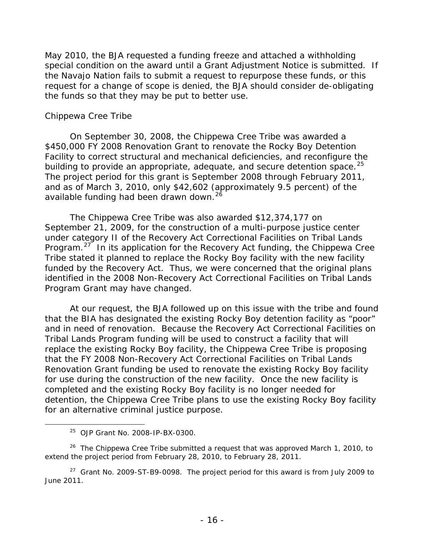May 2010, the BJA requested a funding freeze and attached a withholding special condition on the award until a Grant Adjustment Notice is submitted. If the Navajo Nation fails to submit a request to repurpose these funds, or this request for a change of scope is denied, the BJA should consider de-obligating the funds so that they may be put to better use.

#### *Chippewa Cree Tribe*

On September 30, 2008, the Chippewa Cree Tribe was awarded a \$450,000 FY 2008 Renovation Grant to renovate the Rocky Boy Detention Facility to correct structural and mechanical deficiencies, and reconfigure the building to provide an appropriate, adequate, and secure detention space.  $25$ The project period for this grant is September 2008 through February 2011, and as of March 3, 2010, only \$42,602 (approximately 9.5 percent) of the available funding had been drawn down.<sup>26</sup>

The Chippewa Cree Tribe was also awarded \$12,374,177 on September 21, 2009, for the construction of a multi-purpose justice center under category II of the Recovery Act Correctional Facilities on Tribal Lands Program.<sup>[27](#page-16-2)</sup> In its application for the Recovery Act funding, the Chippewa Cree Tribe stated it planned to replace the Rocky Boy facility with the new facility funded by the Recovery Act. Thus, we were concerned that the original plans identified in the 2008 Non-Recovery Act Correctional Facilities on Tribal Lands Program Grant may have changed.

At our request, the BJA followed up on this issue with the tribe and found that the BIA has designated the existing Rocky Boy detention facility as "poor" and in need of renovation. Because the Recovery Act Correctional Facilities on Tribal Lands Program funding will be used to construct a facility that will replace the existing Rocky Boy facility, the Chippewa Cree Tribe is proposing that the FY 2008 Non-Recovery Act Correctional Facilities on Tribal Lands Renovation Grant funding be used to renovate the existing Rocky Boy facility for use during the construction of the new facility. Once the new facility is completed and the existing Rocky Boy facility is no longer needed for detention, the Chippewa Cree Tribe plans to use the existing Rocky Boy facility for an alternative criminal justice purpose.

25 OJP Grant No. 2008-IP-BX-0300.

<span id="page-16-1"></span><span id="page-16-0"></span> $26$  The Chippewa Cree Tribe submitted a request that was approved March 1, 2010, to extend the project period from February 28, 2010, to February 28, 2011.

<span id="page-16-2"></span> $27$  Grant No. 2009-ST-B9-0098. The project period for this award is from July 2009 to June 2011.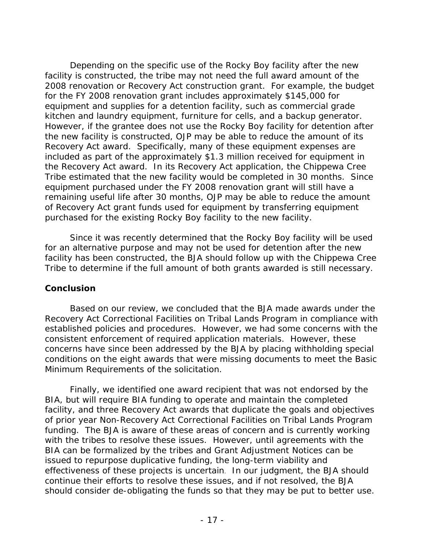Depending on the specific use of the Rocky Boy facility after the new facility is constructed, the tribe may not need the full award amount of the 2008 renovation or Recovery Act construction grant. For example, the budget for the FY 2008 renovation grant includes approximately \$145,000 for equipment and supplies for a detention facility, such as commercial grade kitchen and laundry equipment, furniture for cells, and a backup generator. However, if the grantee does not use the Rocky Boy facility for detention after the new facility is constructed, OJP may be able to reduce the amount of its Recovery Act award. Specifically, many of these equipment expenses are included as part of the approximately \$1.3 million received for equipment in the Recovery Act award. In its Recovery Act application, the Chippewa Cree Tribe estimated that the new facility would be completed in 30 months. Since equipment purchased under the FY 2008 renovation grant will still have a remaining useful life after 30 months, OJP may be able to reduce the amount of Recovery Act grant funds used for equipment by transferring equipment purchased for the existing Rocky Boy facility to the new facility.

Since it was recently determined that the Rocky Boy facility will be used for an alternative purpose and may not be used for detention after the new facility has been constructed, the BJA should follow up with the Chippewa Cree Tribe to determine if the full amount of both grants awarded is still necessary.

## **Conclusion**

Based on our review, we concluded that the BJA made awards under the Recovery Act Correctional Facilities on Tribal Lands Program in compliance with established policies and procedures. However, we had some concerns with the consistent enforcement of required application materials. However, these concerns have since been addressed by the BJA by placing withholding special conditions on the eight awards that were missing documents to meet the Basic Minimum Requirements of the solicitation.

Finally, we identified one award recipient that was not endorsed by the BIA, but will require BIA funding to operate and maintain the completed facility, and three Recovery Act awards that duplicate the goals and objectives of prior year Non-Recovery Act Correctional Facilities on Tribal Lands Program funding. The BJA is aware of these areas of concern and is currently working with the tribes to resolve these issues. However, until agreements with the BIA can be formalized by the tribes and Grant Adjustment Notices can be issued to repurpose duplicative funding, the long-term viability and effectiveness of these projects is uncertain. In our judgment, the BJA should continue their efforts to resolve these issues, and if not resolved, the BJA should consider de-obligating the funds so that they may be put to better use.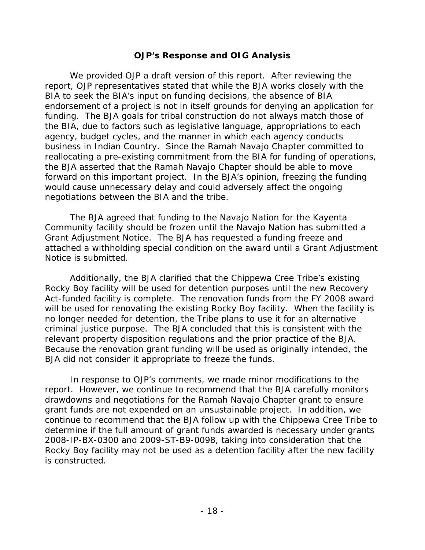#### **OJP's Response and OIG Analysis**

We provided OJP a draft version of this report. After reviewing the report, OJP representatives stated that while the BJA works closely with the BIA to seek the BIA's input on funding decisions, the absence of BIA endorsement of a project is not in itself grounds for denying an application for funding. The BJA goals for tribal construction do not always match those of the BIA, due to factors such as legislative language, appropriations to each agency, budget cycles, and the manner in which each agency conducts business in Indian Country. Since the Ramah Navajo Chapter committed to reallocating a pre-existing commitment from the BIA for funding of operations, the BJA asserted that the Ramah Navajo Chapter should be able to move forward on this important project. In the BJA's opinion, freezing the funding would cause unnecessary delay and could adversely affect the ongoing negotiations between the BIA and the tribe.

The BJA agreed that funding to the Navajo Nation for the Kayenta Community facility should be frozen until the Navajo Nation has submitted a Grant Adjustment Notice. The BJA has requested a funding freeze and attached a withholding special condition on the award until a Grant Adjustment Notice is submitted.

Additionally, the BJA clarified that the Chippewa Cree Tribe's existing Rocky Boy facility will be used for detention purposes until the new Recovery Act-funded facility is complete. The renovation funds from the FY 2008 award will be used for renovating the existing Rocky Boy facility. When the facility is no longer needed for detention, the Tribe plans to use it for an alternative criminal justice purpose. The BJA concluded that this is consistent with the relevant property disposition regulations and the prior practice of the BJA. Because the renovation grant funding will be used as originally intended, the BJA did not consider it appropriate to freeze the funds.

In response to OJP's comments, we made minor modifications to the report. However, we continue to recommend that the BJA carefully monitors drawdowns and negotiations for the Ramah Navajo Chapter grant to ensure grant funds are not expended on an unsustainable project. In addition, we continue to recommend that the BJA follow up with the Chippewa Cree Tribe to determine if the full amount of grant funds awarded is necessary under grants 2008-IP-BX-0300 and 2009-ST-B9-0098, taking into consideration that the Rocky Boy facility may not be used as a detention facility after the new facility is constructed.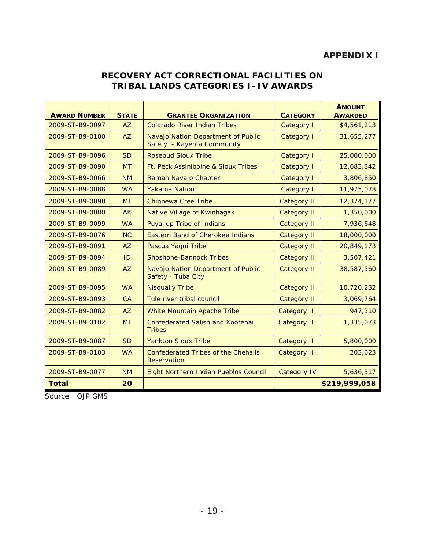# **APPENDIX I**

## **RECOVERY ACT CORRECTIONAL FACILITIES ON TRIBAL LANDS CATEGORIES I–IV AWARDS**

| <b>AWARD NUMBER</b> | <b>STATE</b> | <b>GRANTEE ORGANIZATION</b>                                      | <b>CATEGORY</b>     | <b>AMOUNT</b><br><b>AWARDED</b> |
|---------------------|--------------|------------------------------------------------------------------|---------------------|---------------------------------|
| 2009-ST-B9-0097     | AZ           | <b>Colorado River Indian Tribes</b>                              | Category I          | \$4,561,213                     |
| 2009-ST-B9-0100     | AZ           | Navajo Nation Department of Public<br>Safety - Kayenta Community | <b>Category I</b>   | 31,655,277                      |
| 2009-ST-B9-0096     | <b>SD</b>    | Rosebud Sioux Tribe                                              | Category I          | 25,000,000                      |
| 2009-ST-B9-0090     | <b>MT</b>    | Ft. Peck Assiniboine & Sioux Tribes                              | Category I          | 12,683,342                      |
| 2009-ST-B9-0066     | <b>NM</b>    | Ramah Navajo Chapter                                             | Category I          | 3,806,850                       |
| 2009-ST-B9-0088     | <b>WA</b>    | <b>Yakama Nation</b>                                             | Category I          | 11,975,078                      |
| 2009-ST-B9-0098     | <b>MT</b>    | <b>Chippewa Cree Tribe</b>                                       | <b>Category II</b>  | 12,374,177                      |
| 2009-ST-B9-0080     | <b>AK</b>    | Native Village of Kwinhagak                                      | <b>Category II</b>  | 1,350,000                       |
| 2009-ST-B9-0099     | <b>WA</b>    | <b>Puyallup Tribe of Indians</b>                                 | <b>Category II</b>  | 7,936,648                       |
| 2009-ST-B9-0076     | NC           | <b>Eastern Band of Cherokee Indians</b>                          | <b>Category II</b>  | 18,000,000                      |
| 2009-ST-B9-0091     | <b>AZ</b>    | Pascua Yaqui Tribe                                               | <b>Category II</b>  | 20,849,173                      |
| 2009-ST-B9-0094     | ID           | <b>Shoshone-Bannock Tribes</b>                                   | <b>Category II</b>  | 3,507,421                       |
| 2009-ST-B9-0089     | AZ           | Navajo Nation Department of Public<br>Safety - Tuba City         | <b>Category II</b>  | 38,587,560                      |
| 2009-ST-B9-0095     | <b>WA</b>    | <b>Nisqually Tribe</b>                                           | <b>Category II</b>  | 10,720,232                      |
| 2009-ST-B9-0093     | CA           | Tule river tribal council                                        | <b>Category II</b>  | 3,069,764                       |
| 2009-ST-B9-0082     | AZ           | White Mountain Apache Tribe                                      | <b>Category III</b> | 947,310                         |
| 2009-ST-B9-0102     | <b>MT</b>    | <b>Confederated Salish and Kootenai</b><br><b>Tribes</b>         | <b>Category III</b> | 1,335,073                       |
| 2009-ST-B9-0087     | <b>SD</b>    | <b>Yankton Sioux Tribe</b>                                       | <b>Category III</b> | 5,800,000                       |
| 2009-ST-B9-0103     | <b>WA</b>    | <b>Confederated Tribes of the Chehalis</b><br>Reservation        | <b>Category III</b> | 203,623                         |
| 2009-ST-B9-0077     | <b>NM</b>    | Eight Northern Indian Pueblos Council                            | <b>Category IV</b>  | 5,636,317                       |
| <b>Total</b>        | 20           |                                                                  |                     | \$219,999,058                   |

Source: OJP GMS